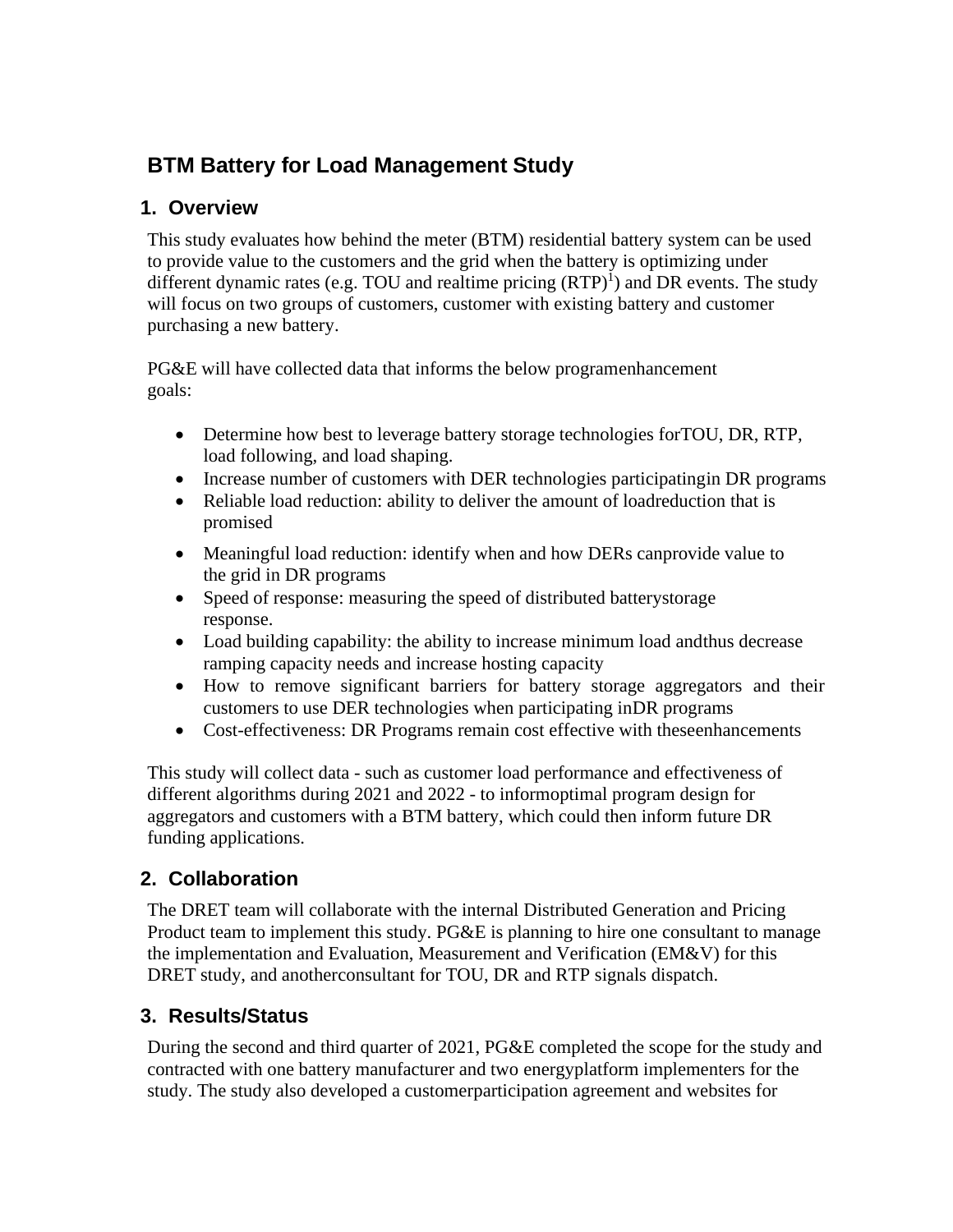# **BTM Battery for Load Management Study**

#### **1. Overview**

This study evaluates how behind the meter (BTM) residential battery system can be used to provide value to the customers and the grid when the battery is optimizing under different dynamic rates (e.g. TOU and realtime pricing  $(RTP)^1$  $(RTP)^1$ ) and DR events. The study will focus on two groups of customers, customer with existing battery and customer purchasing a new battery.

PG&E will have collected data that informs the below programenhancement goals:

- Determine how best to leverage battery storage technologies forTOU, DR, RTP, load following, and load shaping.
- Increase number of customers with DER technologies participating in DR programs
- Reliable load reduction: ability to deliver the amount of loadreduction that is promised
- Meaningful load reduction: identify when and how DERs canprovide value to the grid in DR programs
- Speed of response: measuring the speed of distributed batterystorage response.
- Load building capability: the ability to increase minimum load and thus decrease ramping capacity needs and increase hosting capacity
- How to remove significant barriers for battery storage aggregators and their customers to use DER technologies when participating inDR programs
- Cost-effectiveness: DR Programs remain cost effective with theseenhancements

This study will collect data - such as customer load performance and effectiveness of different algorithms during 2021 and 2022 - to informoptimal program design for aggregators and customers with a BTM battery, which could then inform future DR funding applications.

## **2. Collaboration**

The DRET team will collaborate with the internal Distributed Generation and Pricing Product team to implement this study. PG&E is planning to hire one consultant to manage the implementation and Evaluation, Measurement and Verification (EM&V) for this DRET study, and anotherconsultant for TOU, DR and RTP signals dispatch.

## **3. Results/Status**

During the second and third quarter of 2021, PG&E completed the scope for the study and contracted with one battery manufacturer and two energyplatform implementers for the study. The study also developed a customerparticipation agreement and websites for